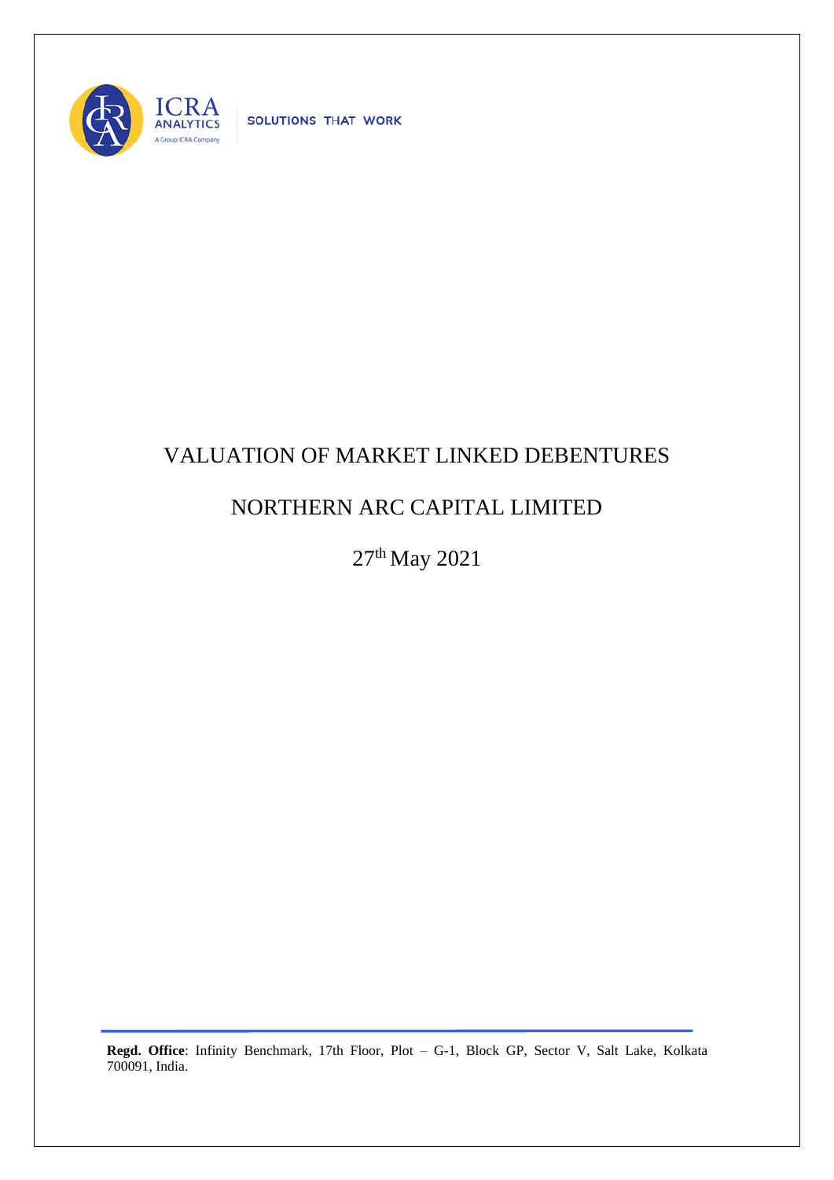

SOLUTIONS THAT WORK

## VALUATION OF MARKET LINKED DEBENTURES

## NORTHERN ARC CAPITAL LIMITED

27<sup>th</sup> May 2021

**Regd. Office**: Infinity Benchmark, 17th Floor, Plot – G-1, Block GP, Sector V, Salt Lake, Kolkata 700091, India.